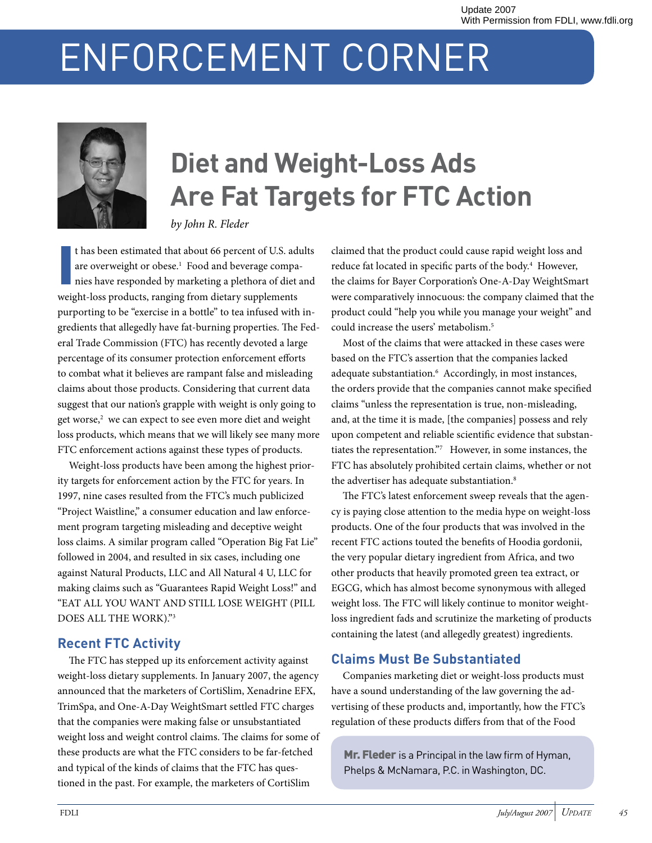# ENFORCEMENT CORNER



# **Diet and Weight-Loss Ads Are Fat Targets for FTC Action**

*by John R. Fleder*

I t has been estimated that about 66 percent of U.S. adults are overweight or obese.<sup>1</sup> Food and beverage companies have responded by marketing a plethora of diet and weight-loss products, ranging from dietary supplements purporting to be "exercise in a bottle" to tea infused with ingredients that allegedly have fat-burning properties. The Federal Trade Commission (FTC) has recently devoted a large percentage of its consumer protection enforcement efforts to combat what it believes are rampant false and misleading claims about those products. Considering that current data suggest that our nation's grapple with weight is only going to get worse,<sup>2</sup> we can expect to see even more diet and weight loss products, which means that we will likely see many more FTC enforcement actions against these types of products.

Weight-loss products have been among the highest priority targets for enforcement action by the FTC for years. In 1997, nine cases resulted from the FTC's much publicized "Project Waistline," a consumer education and law enforcement program targeting misleading and deceptive weight loss claims. A similar program called "Operation Big Fat Lie" followed in 2004, and resulted in six cases, including one against Natural Products, LLC and All Natural 4 U, LLC for making claims such as "Guarantees Rapid Weight Loss!" and "EAT ALL YOU WANT AND STILL LOSE WEIGHT (PILL DOES ALL THE WORK)."3

#### **Recent FTC Activity**

The FTC has stepped up its enforcement activity against weight-loss dietary supplements. In January 2007, the agency announced that the marketers of CortiSlim, Xenadrine EFX, TrimSpa, and One-A-Day WeightSmart settled FTC charges that the companies were making false or unsubstantiated weight loss and weight control claims. The claims for some of these products are what the FTC considers to be far-fetched and typical of the kinds of claims that the FTC has questioned in the past. For example, the marketers of CortiSlim

claimed that the product could cause rapid weight loss and reduce fat located in specific parts of the body.<sup>4</sup> However, the claims for Bayer Corporation's One-A-Day WeightSmart were comparatively innocuous: the company claimed that the product could "help you while you manage your weight" and could increase the users' metabolism.5

Most of the claims that were attacked in these cases were based on the FTC's assertion that the companies lacked adequate substantiation.<sup>6</sup> Accordingly, in most instances, the orders provide that the companies cannot make specified claims "unless the representation is true, non-misleading, and, at the time it is made, [the companies] possess and rely upon competent and reliable scientific evidence that substantiates the representation."7 However, in some instances, the FTC has absolutely prohibited certain claims, whether or not the advertiser has adequate substantiation.<sup>8</sup>

The FTC's latest enforcement sweep reveals that the agency is paying close attention to the media hype on weight-loss products. One of the four products that was involved in the recent FTC actions touted the benefits of Hoodia gordonii, the very popular dietary ingredient from Africa, and two other products that heavily promoted green tea extract, or EGCG, which has almost become synonymous with alleged weight loss. The FTC will likely continue to monitor weightloss ingredient fads and scrutinize the marketing of products containing the latest (and allegedly greatest) ingredients.

### **Claims Must Be Substantiated**

Companies marketing diet or weight-loss products must have a sound understanding of the law governing the advertising of these products and, importantly, how the FTC's regulation of these products differs from that of the Food

Mr. Fleder is a Principal in the law firm of Hyman, Phelps & McNamara, P.C. in Washington, DC.